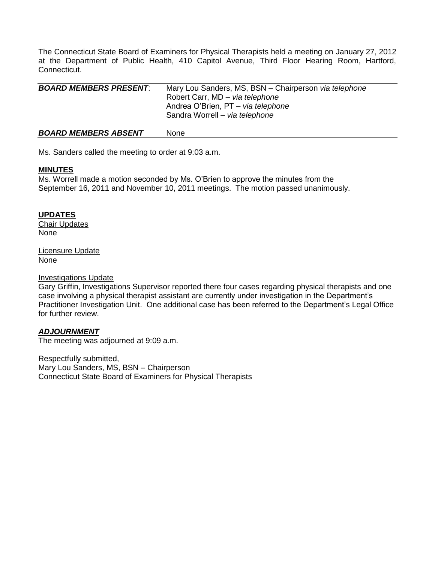The Connecticut State Board of Examiners for Physical Therapists held a meeting on January 27, 2012 at the Department of Public Health, 410 Capitol Avenue, Third Floor Hearing Room, Hartford, Connecticut.

| <b>BOARD MEMBERS PRESENT:</b> | Mary Lou Sanders, MS, BSN - Chairperson via telephone<br>Robert Carr, MD - via telephone<br>Andrea O'Brien, PT - via telephone<br>Sandra Worrell - via telephone |
|-------------------------------|------------------------------------------------------------------------------------------------------------------------------------------------------------------|
| <b>BOARD MEMBERS ABSENT</b>   | <b>None</b>                                                                                                                                                      |

Ms. Sanders called the meeting to order at 9:03 a.m.

### **MINUTES**

Ms. Worrell made a motion seconded by Ms. O'Brien to approve the minutes from the September 16, 2011 and November 10, 2011 meetings. The motion passed unanimously.

# **UPDATES**

Chair Updates None

Licensure Update None

### Investigations Update

Gary Griffin, Investigations Supervisor reported there four cases regarding physical therapists and one case involving a physical therapist assistant are currently under investigation in the Department's Practitioner Investigation Unit. One additional case has been referred to the Department's Legal Office for further review.

# *ADJOURNMENT*

The meeting was adjourned at 9:09 a.m.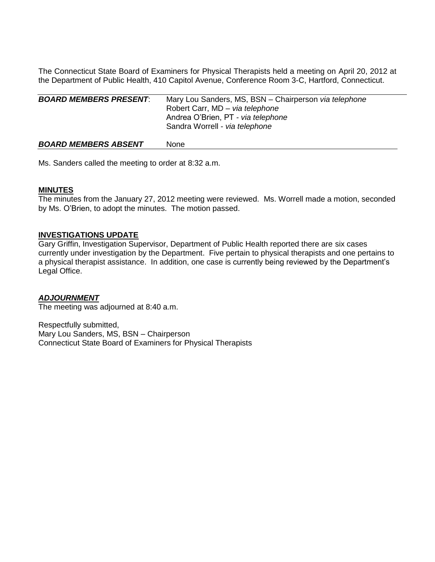The Connecticut State Board of Examiners for Physical Therapists held a meeting on April 20, 2012 at the Department of Public Health, 410 Capitol Avenue, Conference Room 3-C, Hartford, Connecticut.

| <b>BOARD MEMBERS PRESENT:</b> | Mary Lou Sanders, MS, BSN - Chairperson via telephone<br>Robert Carr, MD - via telephone<br>Andrea O'Brien, PT - via telephone<br>Sandra Worrell - via telephone |
|-------------------------------|------------------------------------------------------------------------------------------------------------------------------------------------------------------|
| <b>BOARD MEMBERS ABSENT</b>   | None                                                                                                                                                             |

Ms. Sanders called the meeting to order at 8:32 a.m.

### **MINUTES**

The minutes from the January 27, 2012 meeting were reviewed. Ms. Worrell made a motion, seconded by Ms. O'Brien, to adopt the minutes. The motion passed.

### **INVESTIGATIONS UPDATE**

Gary Griffin, Investigation Supervisor, Department of Public Health reported there are six cases currently under investigation by the Department. Five pertain to physical therapists and one pertains to a physical therapist assistance. In addition, one case is currently being reviewed by the Department's Legal Office.

#### *ADJOURNMENT*

The meeting was adjourned at 8:40 a.m.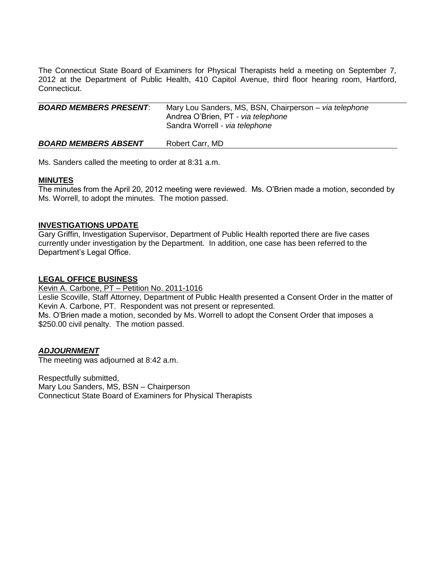The Connecticut State Board of Examiners for Physical Therapists held a meeting on September 7, 2012 at the Department of Public Health, 410 Capitol Avenue, third floor hearing room, Hartford, Connecticut.

| <b>BOARD MEMBERS PRESENT:</b> | Mary Lou Sanders, MS, BSN, Chairperson - via telephone<br>Andrea O'Brien, PT - via telephone<br>Sandra Worrell - via telephone |
|-------------------------------|--------------------------------------------------------------------------------------------------------------------------------|
|                               |                                                                                                                                |

**BOARD MEMBERS ABSENT** Robert Carr, MD

Ms. Sanders called the meeting to order at 8:31 a.m.

### **MINUTES**

The minutes from the April 20, 2012 meeting were reviewed. Ms. O'Brien made a motion, seconded by Ms. Worrell, to adopt the minutes. The motion passed.

# **INVESTIGATIONS UPDATE**

Gary Griffin, Investigation Supervisor, Department of Public Health reported there are five cases currently under investigation by the Department. In addition, one case has been referred to the Department's Legal Office.

# **LEGAL OFFICE BUSINESS**

Kevin A. Carbone, PT – Petition No. 2011-1016 Leslie Scoville, Staff Attorney, Department of Public Health presented a Consent Order in the matter of Kevin A. Carbone, PT. Respondent was not present or represented. Ms. O'Brien made a motion, seconded by Ms. Worrell to adopt the Consent Order that imposes a \$250.00 civil penalty. The motion passed.

# *ADJOURNMENT*

The meeting was adjourned at 8:42 a.m.